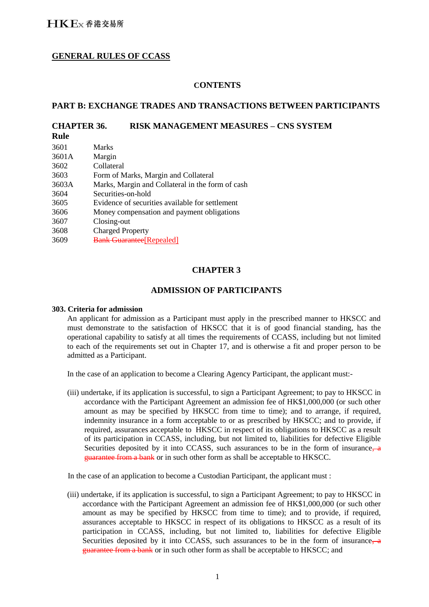# **GENERAL RULES OF CCASS**

### **CONTENTS**

### **PART B: EXCHANGE TRADES AND TRANSACTIONS BETWEEN PARTICIPANTS**

# **CHAPTER 36. RISK MANAGEMENT MEASURES – CNS SYSTEM**

**Rule**

| 3601  | <b>Marks</b>                                     |
|-------|--------------------------------------------------|
|       |                                                  |
| 3601A | Margin                                           |
| 3602  | Collateral                                       |
| 3603  | Form of Marks, Margin and Collateral             |
| 3603A | Marks, Margin and Collateral in the form of cash |
| 3604  | Securities-on-hold                               |
| 3605  | Evidence of securities available for settlement  |
| 3606  | Money compensation and payment obligations       |
| 3607  | Closing-out                                      |
| 3608  | <b>Charged Property</b>                          |
| 3609  | <b>Bank Guarantee [Repealed]</b>                 |
|       |                                                  |

# **CHAPTER 3**

### **ADMISSION OF PARTICIPANTS**

#### **303. Criteria for admission**

An applicant for admission as a Participant must apply in the prescribed manner to HKSCC and must demonstrate to the satisfaction of HKSCC that it is of good financial standing, has the operational capability to satisfy at all times the requirements of CCASS, including but not limited to each of the requirements set out in Chapter 17, and is otherwise a fit and proper person to be admitted as a Participant.

In the case of an application to become a Clearing Agency Participant, the applicant must:-

(iii) undertake, if its application is successful, to sign a Participant Agreement; to pay to HKSCC in accordance with the Participant Agreement an admission fee of HK\$1,000,000 (or such other amount as may be specified by HKSCC from time to time); and to arrange, if required, indemnity insurance in a form acceptable to or as prescribed by HKSCC; and to provide, if required, assurances acceptable to HKSCC in respect of its obligations to HKSCC as a result of its participation in CCASS, including, but not limited to, liabilities for defective Eligible Securities deposited by it into CCASS, such assurances to be in the form of insurance, a guarantee from a bank or in such other form as shall be acceptable to HKSCC.

In the case of an application to become a Custodian Participant, the applicant must :

(iii) undertake, if its application is successful, to sign a Participant Agreement; to pay to HKSCC in accordance with the Participant Agreement an admission fee of HK\$1,000,000 (or such other amount as may be specified by HKSCC from time to time); and to provide, if required, assurances acceptable to HKSCC in respect of its obligations to HKSCC as a result of its participation in CCASS, including, but not limited to, liabilities for defective Eligible Securities deposited by it into CCASS, such assurances to be in the form of insurance, a guarantee from a bank or in such other form as shall be acceptable to HKSCC; and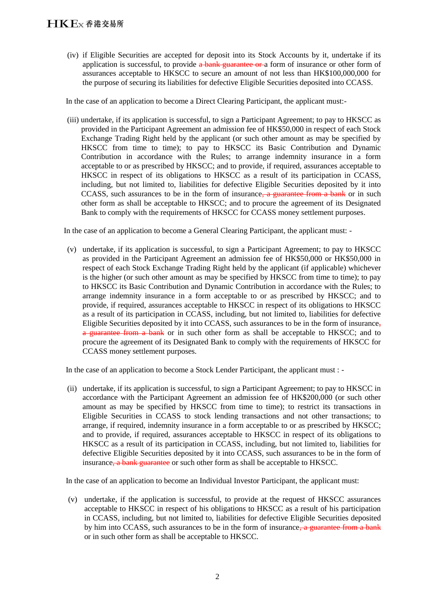(iv) if Eligible Securities are accepted for deposit into its Stock Accounts by it, undertake if its application is successful, to provide  $\frac{a}{b}$  bank guarantee or a form of insurance or other form of assurances acceptable to HKSCC to secure an amount of not less than HK\$100,000,000 for the purpose of securing its liabilities for defective Eligible Securities deposited into CCASS.

In the case of an application to become a Direct Clearing Participant, the applicant must:-

(iii) undertake, if its application is successful, to sign a Participant Agreement; to pay to HKSCC as provided in the Participant Agreement an admission fee of HK\$50,000 in respect of each Stock Exchange Trading Right held by the applicant (or such other amount as may be specified by HKSCC from time to time); to pay to HKSCC its Basic Contribution and Dynamic Contribution in accordance with the Rules; to arrange indemnity insurance in a form acceptable to or as prescribed by HKSCC; and to provide, if required, assurances acceptable to HKSCC in respect of its obligations to HKSCC as a result of its participation in CCASS, including, but not limited to, liabilities for defective Eligible Securities deposited by it into CCASS, such assurances to be in the form of insurance, a guarantee from a bank or in such other form as shall be acceptable to HKSCC; and to procure the agreement of its Designated Bank to comply with the requirements of HKSCC for CCASS money settlement purposes.

In the case of an application to become a General Clearing Participant, the applicant must: -

(v) undertake, if its application is successful, to sign a Participant Agreement; to pay to HKSCC as provided in the Participant Agreement an admission fee of HK\$50,000 or HK\$50,000 in respect of each Stock Exchange Trading Right held by the applicant (if applicable) whichever is the higher (or such other amount as may be specified by HKSCC from time to time); to pay to HKSCC its Basic Contribution and Dynamic Contribution in accordance with the Rules; to arrange indemnity insurance in a form acceptable to or as prescribed by HKSCC; and to provide, if required, assurances acceptable to HKSCC in respect of its obligations to HKSCC as a result of its participation in CCASS, including, but not limited to, liabilities for defective Eligible Securities deposited by it into CCASS, such assurances to be in the form of insurance, a guarantee from a bank or in such other form as shall be acceptable to HKSCC; and to procure the agreement of its Designated Bank to comply with the requirements of HKSCC for CCASS money settlement purposes.

In the case of an application to become a Stock Lender Participant, the applicant must : -

(ii) undertake, if its application is successful, to sign a Participant Agreement; to pay to HKSCC in accordance with the Participant Agreement an admission fee of HK\$200,000 (or such other amount as may be specified by HKSCC from time to time); to restrict its transactions in Eligible Securities in CCASS to stock lending transactions and not other transactions; to arrange, if required, indemnity insurance in a form acceptable to or as prescribed by HKSCC; and to provide, if required, assurances acceptable to HKSCC in respect of its obligations to HKSCC as a result of its participation in CCASS, including, but not limited to, liabilities for defective Eligible Securities deposited by it into CCASS, such assurances to be in the form of insurance, a bank guarantee or such other form as shall be acceptable to HKSCC.

In the case of an application to become an Individual Investor Participant, the applicant must:

(v) undertake, if the application is successful, to provide at the request of HKSCC assurances acceptable to HKSCC in respect of his obligations to HKSCC as a result of his participation in CCASS, including, but not limited to, liabilities for defective Eligible Securities deposited by him into CCASS, such assurances to be in the form of insurance, a guarantee from a bank or in such other form as shall be acceptable to HKSCC.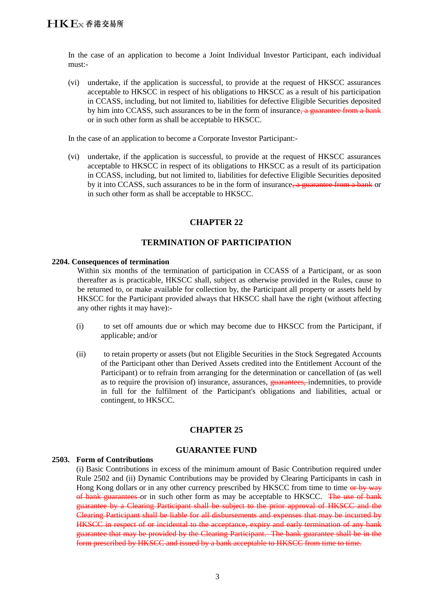In the case of an application to become a Joint Individual Investor Participant, each individual must:-

(vi) undertake, if the application is successful, to provide at the request of HKSCC assurances acceptable to HKSCC in respect of his obligations to HKSCC as a result of his participation in CCASS, including, but not limited to, liabilities for defective Eligible Securities deposited by him into CCASS, such assurances to be in the form of insurance, a guarantee from a bank or in such other form as shall be acceptable to HKSCC.

In the case of an application to become a Corporate Investor Participant:-

(vi) undertake, if the application is successful, to provide at the request of HKSCC assurances acceptable to HKSCC in respect of its obligations to HKSCC as a result of its participation in CCASS, including, but not limited to, liabilities for defective Eligible Securities deposited by it into CCASS, such assurances to be in the form of insurance, a guarantee from a bank or in such other form as shall be acceptable to HKSCC.

## **CHAPTER 22**

## **TERMINATION OF PARTICIPATION**

#### **2204. Consequences of termination**

Within six months of the termination of participation in CCASS of a Participant, or as soon thereafter as is practicable, HKSCC shall, subject as otherwise provided in the Rules, cause to be returned to, or make available for collection by, the Participant all property or assets held by HKSCC for the Participant provided always that HKSCC shall have the right (without affecting any other rights it may have):-

- (i) to set off amounts due or which may become due to HKSCC from the Participant, if applicable; and/or
- (ii) to retain property or assets (but not Eligible Securities in the Stock Segregated Accounts of the Participant other than Derived Assets credited into the Entitlement Account of the Participant) or to refrain from arranging for the determination or cancellation of (as well as to require the provision of) insurance, assurances, guarantees, indemnities, to provide in full for the fulfilment of the Participant's obligations and liabilities, actual or contingent, to HKSCC.

## **CHAPTER 25**

#### **GUARANTEE FUND**

#### **2503. Form of Contributions**

(i) Basic Contributions in excess of the minimum amount of Basic Contribution required under Rule 2502 and (ii) Dynamic Contributions may be provided by Clearing Participants in cash in Hong Kong dollars or in any other currency prescribed by HKSCC from time to time or by way of bank guarantees or in such other form as may be acceptable to HKSCC. The use of bank guarantee by a Clearing Participant shall be subject to the prior approval of HKSCC and the Clearing Participant shall be liable for all disbursements and expenses that may be incurred by HKSCC in respect of or incidental to the acceptance, expiry and early termination of any bank guarantee that may be provided by the Clearing Participant. The bank guarantee shall be in the form prescribed by HKSCC and issued by a bank acceptable to HKSCC from time to time.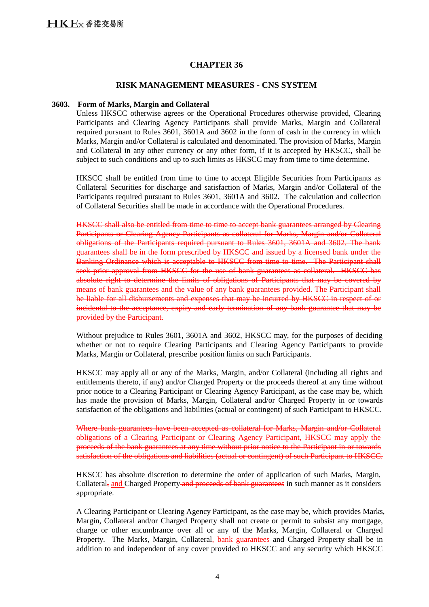### **CHAPTER 36**

#### **RISK MANAGEMENT MEASURES - CNS SYSTEM**

#### **3603. Form of Marks, Margin and Collateral**

Unless HKSCC otherwise agrees or the Operational Procedures otherwise provided, Clearing Participants and Clearing Agency Participants shall provide Marks, Margin and Collateral required pursuant to Rules 3601, 3601A and 3602 in the form of cash in the currency in which Marks, Margin and/or Collateral is calculated and denominated. The provision of Marks, Margin and Collateral in any other currency or any other form, if it is accepted by HKSCC, shall be subject to such conditions and up to such limits as HKSCC may from time to time determine.

HKSCC shall be entitled from time to time to accept Eligible Securities from Participants as Collateral Securities for discharge and satisfaction of Marks, Margin and/or Collateral of the Participants required pursuant to Rules 3601, 3601A and 3602. The calculation and collection of Collateral Securities shall be made in accordance with the Operational Procedures.

HKSCC shall also be entitled from time to time to accept bank guarantees arranged by Clearing Participants or Clearing Agency Participants as collateral for Marks, Margin and/or Collateral obligations of the Participants required pursuant to Rules 3601, 3601A and 3602. The bank guarantees shall be in the form prescribed by HKSCC and issued by a licensed bank under the Banking Ordinance which is acceptable to HKSCC from time to time. The Participant shall seek prior approval from HKSCC for the use of bank guarantees as collateral. HKSCC has absolute right to determine the limits of obligations of Participants that may be covered by means of bank guarantees and the value of any bank guarantees provided. The Participant shall be liable for all disbursements and expenses that may be incurred by HKSCC in respect of or incidental to the acceptance, expiry and early termination of any bank guarantee that may be provided by the Participant.

Without prejudice to Rules 3601, 3601A and 3602, HKSCC may, for the purposes of deciding whether or not to require Clearing Participants and Clearing Agency Participants to provide Marks, Margin or Collateral, prescribe position limits on such Participants.

HKSCC may apply all or any of the Marks, Margin, and/or Collateral (including all rights and entitlements thereto, if any) and/or Charged Property or the proceeds thereof at any time without prior notice to a Clearing Participant or Clearing Agency Participant, as the case may be, which has made the provision of Marks, Margin, Collateral and/or Charged Property in or towards satisfaction of the obligations and liabilities (actual or contingent) of such Participant to HKSCC.

Where bank guarantees have been accepted as collateral for Marks, Margin and/or Collateral obligations of a Clearing Participant or Clearing Agency Participant, HKSCC may apply the proceeds of the bank guarantees at any time without prior notice to the Participant in or towards satisfaction of the obligations and liabilities (actual or contingent) of such Participant to HKSCC.

HKSCC has absolute discretion to determine the order of application of such Marks, Margin, Collateral, and Charged Property and proceeds of bank guarantees in such manner as it considers appropriate.

A Clearing Participant or Clearing Agency Participant, as the case may be, which provides Marks, Margin, Collateral and/or Charged Property shall not create or permit to subsist any mortgage, charge or other encumbrance over all or any of the Marks, Margin, Collateral or Charged Property. The Marks, Margin, Collateral, bank guarantees and Charged Property shall be in addition to and independent of any cover provided to HKSCC and any security which HKSCC